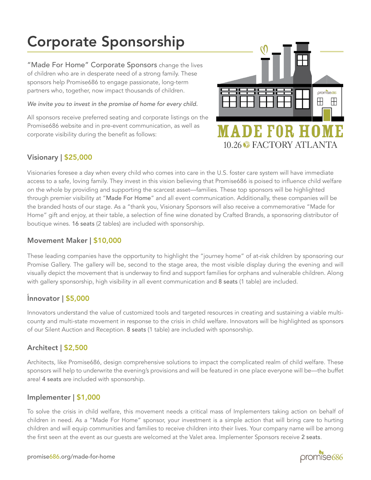# Corporate Sponsorship

"Made For Home" Corporate Sponsors change the lives of children who are in desperate need of a strong family. These sponsors help Promise686 to engage passionate, long-term partners who, together, now impact thousands of children.

*We invite you to invest in the promise of home for every child.* 

All sponsors receive preferred seating and corporate listings on the Promise686 website and in pre-event communication, as well as corporate visibility during the benefit as follows:



#### Visionary | \$25,000

Visionaries foresee a day when every child who comes into care in the U.S. foster care system will have immediate access to a safe, loving family. They invest in this vision believing that Promise686 is poised to influence child welfare on the whole by providing and supporting the scarcest asset––families. These top sponsors will be highlighted through premier visibility at "Made For Home" and all event communication. Additionally, these companies will be the branded hosts of our stage. As a "thank you, Visionary Sponsors will also receive a commemorative "Made for Home" gift and enjoy, at their table, a selection of fine wine donated by Crafted Brands, a sponsoring distributor of boutique wines. 16 seats (2 tables) are included with sponsorship.

### Movement Maker | \$10,000

These leading companies have the opportunity to highlight the "journey home" of at-risk children by sponsoring our Promise Gallery. The gallery will be, second to the stage area, the most visible display during the evening and will visually depict the movement that is underway to find and support families for orphans and vulnerable children. Along with gallery sponsorship, high visibility in all event communication and 8 seats (1 table) are included.

#### , Innovator | \$5,000

Innovators understand the value of customized tools and targeted resources in creating and sustaining a viable multicounty and multi-state movement in response to the crisis in child welfare. Innovators will be highlighted as sponsors of our Silent Auction and Reception. 8 seats (1 table) are included with sponsorship.

#### Architect | \$2,500

Architects, like Promise686, design comprehensive solutions to impact the complicated realm of child welfare. These sponsors will help to underwrite the evening's provisions and will be featured in one place everyone will be—the buffet area! 4 seats are included with sponsorship.

#### Implementer | \$1,000

To solve the crisis in child welfare, this movement needs a critical mass of Implementers taking action on behalf of children in need. As a "Made For Home" sponsor, your investment is a simple action that will bring care to hurting children and will equip communities and families to receive children into their lives. Your company name will be among the first seen at the event as our guests are welcomed at the Valet area. Implementer Sponsors receive 2 seats.